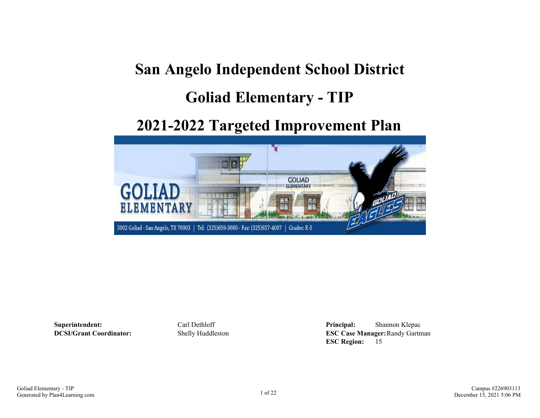## **San Angelo Independent School District**

## **Goliad Elementary - TIP**

## **2021-2022 Targeted Improvement Plan**



**Superintendent:** Carl Dethloff **Principal:** Shannon Klepac **DCSI/Grant Coordinator:** Shelly Huddleston **ESC Case Manager:**Randy Gartman **ESC Region:** 15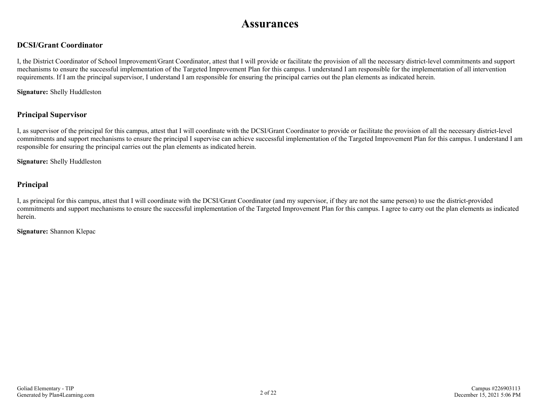### **Assurances**

#### **DCSI/Grant Coordinator**

I, the District Coordinator of School Improvement/Grant Coordinator, attest that I will provide or facilitate the provision of all the necessary district-level commitments and support mechanisms to ensure the successful implementation of the Targeted Improvement Plan for this campus. I understand I am responsible for the implementation of all intervention requirements. If I am the principal supervisor, I understand I am responsible for ensuring the principal carries out the plan elements as indicated herein.

**Signature:** Shelly Huddleston

#### **Principal Supervisor**

I, as supervisor of the principal for this campus, attest that I will coordinate with the DCSI/Grant Coordinator to provide or facilitate the provision of all the necessary district-level commitments and support mechanisms to ensure the principal I supervise can achieve successful implementation of the Targeted Improvement Plan for this campus. I understand I am responsible for ensuring the principal carries out the plan elements as indicated herein.

**Signature:** Shelly Huddleston

#### **Principal**

I, as principal for this campus, attest that I will coordinate with the DCSI/Grant Coordinator (and my supervisor, if they are not the same person) to use the district-provided commitments and support mechanisms to ensure the successful implementation of the Targeted Improvement Plan for this campus. I agree to carry out the plan elements as indicated herein.

**Signature:** Shannon Klepac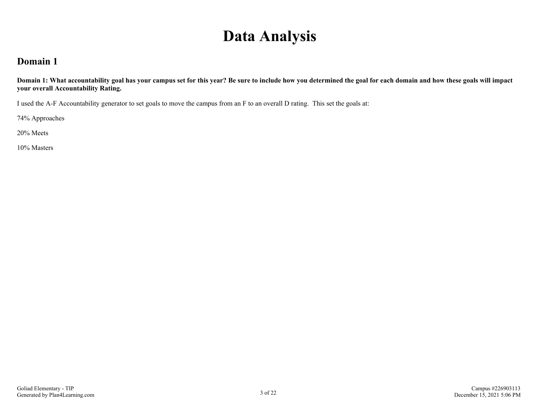## **Data Analysis**

### **Domain 1**

**Domain 1: What accountability goal has your campus set for this year? Be sure to include how you determined the goal for each domain and how these goals will impact your overall Accountability Rating.**

I used the A-F Accountability generator to set goals to move the campus from an F to an overall D rating. This set the goals at:

74% Approaches

20% Meets

10% Masters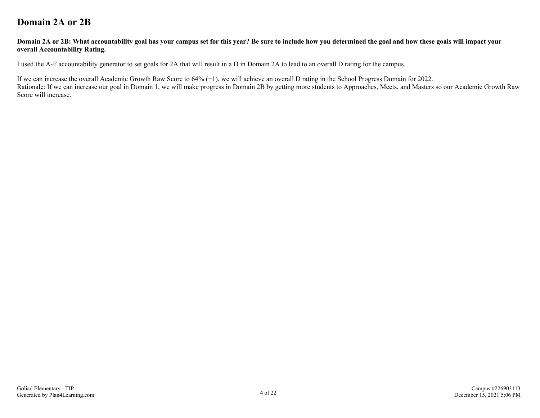### **Domain 2A or 2B**

#### **Domain 2A or 2B: What accountability goal has your campus set for this year? Be sure to include how you determined the goal and how these goals will impact your overall Accountability Rating.**

I used the A-F accountability generator to set goals for 2A that will result in a D in Domain 2A to lead to an overall D rating for the campus.

If we can increase the overall Academic Growth Raw Score to 64% (+1), we will achieve an overall D rating in the School Progress Domain for 2022.

Rationale: If we can increase our goal in Domain 1, we will make progress in Domain 2B by getting more students to Approaches, Meets, and Masters so our Academic Growth Raw Score will increase.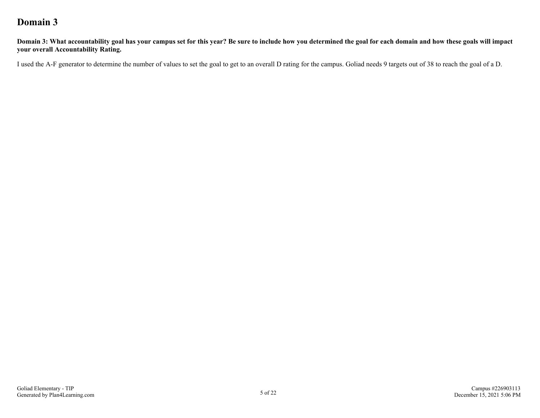### **Domain 3**

**Domain 3: What accountability goal has your campus set for this year? Be sure to include how you determined the goal for each domain and how these goals will impact your overall Accountability Rating.**

I used the A-F generator to determine the number of values to set the goal to get to an overall D rating for the campus. Goliad needs 9 targets out of 38 to reach the goal of a D.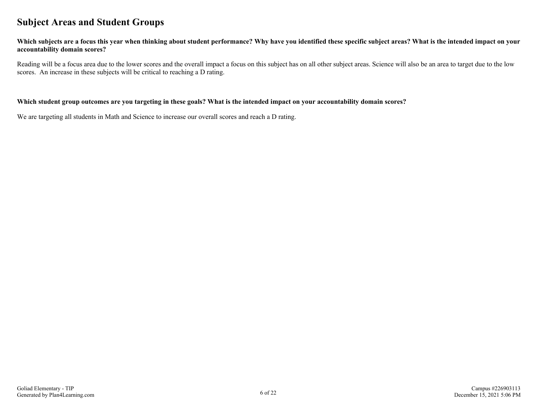### **Subject Areas and Student Groups**

#### **Which subjects are a focus this year when thinking about student performance? Why have you identified these specific subject areas? What is the intended impact on your accountability domain scores?**

Reading will be a focus area due to the lower scores and the overall impact a focus on this subject has on all other subject areas. Science will also be an area to target due to the low scores. An increase in these subjects will be critical to reaching a D rating.

#### **Which student group outcomes are you targeting in these goals? What is the intended impact on your accountability domain scores?**

We are targeting all students in Math and Science to increase our overall scores and reach a D rating.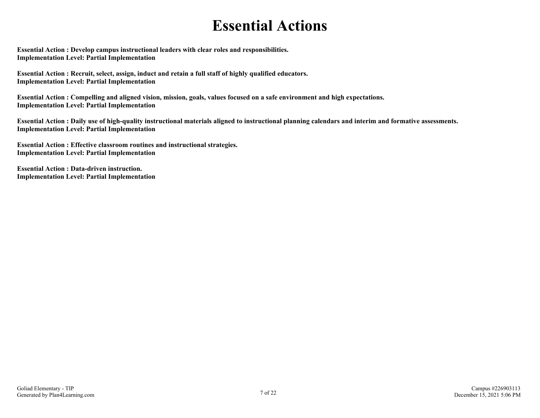## **Essential Actions**

**Essential Action : Develop campus instructional leaders with clear roles and responsibilities. Implementation Level: Partial Implementation** 

**Essential Action : Recruit, select, assign, induct and retain a full staff of highly qualified educators. Implementation Level: Partial Implementation** 

**Essential Action : Compelling and aligned vision, mission, goals, values focused on a safe environment and high expectations. Implementation Level: Partial Implementation** 

**Essential Action : Daily use of high-quality instructional materials aligned to instructional planning calendars and interim and formative assessments. Implementation Level: Partial Implementation** 

**Essential Action : Effective classroom routines and instructional strategies. Implementation Level: Partial Implementation** 

**Essential Action : Data-driven instruction. Implementation Level: Partial Implementation**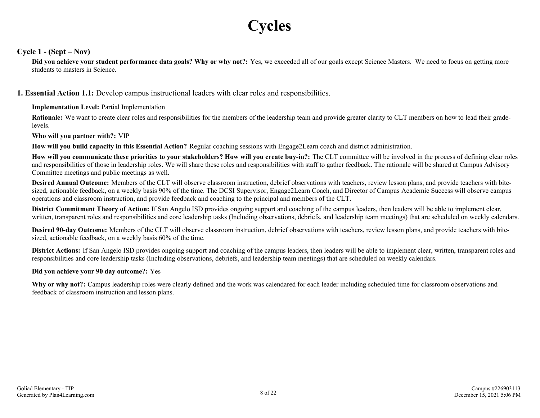# **Cycles**

#### **Cycle 1 - (Sept – Nov)**

**Did you achieve your student performance data goals? Why or why not?:** Yes, we exceeded all of our goals except Science Masters. We need to focus on getting more students to masters in Science.

**1. Essential Action 1.1:** Develop campus instructional leaders with clear roles and responsibilities.

#### **Implementation Level:** Partial Implementation

**Rationale:** We want to create clear roles and responsibilities for the members of the leadership team and provide greater clarity to CLT members on how to lead their gradelevels.

#### **Who will you partner with?:** VIP

**How will you build capacity in this Essential Action?** Regular coaching sessions with Engage2Learn coach and district administration.

**How will you communicate these priorities to your stakeholders? How will you create buy-in?:** The CLT committee will be involved in the process of defining clear roles and responsibilities of those in leadership roles. We will share these roles and responsibilities with staff to gather feedback. The rationale will be shared at Campus Advisory Committee meetings and public meetings as well.

**Desired Annual Outcome:** Members of the CLT will observe classroom instruction, debrief observations with teachers, review lesson plans, and provide teachers with bitesized, actionable feedback, on a weekly basis 90% of the time. The DCSI Supervisor, Engage2Learn Coach, and Director of Campus Academic Success will observe campus operations and classroom instruction, and provide feedback and coaching to the principal and members of the CLT.

**District Commitment Theory of Action:** If San Angelo ISD provides ongoing support and coaching of the campus leaders, then leaders will be able to implement clear, written, transparent roles and responsibilities and core leadership tasks (Including observations, debriefs, and leadership team meetings) that are scheduled on weekly calendars.

**Desired 90-day Outcome:** Members of the CLT will observe classroom instruction, debrief observations with teachers, review lesson plans, and provide teachers with bitesized, actionable feedback, on a weekly basis 60% of the time.

**District Actions:** If San Angelo ISD provides ongoing support and coaching of the campus leaders, then leaders will be able to implement clear, written, transparent roles and responsibilities and core leadership tasks (Including observations, debriefs, and leadership team meetings) that are scheduled on weekly calendars.

#### **Did you achieve your 90 day outcome?:** Yes

**Why or why not?:** Campus leadership roles were clearly defined and the work was calendared for each leader including scheduled time for classroom observations and feedback of classroom instruction and lesson plans.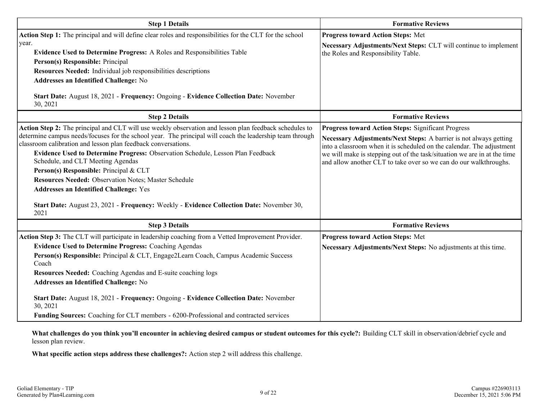| <b>Step 1 Details</b>                                                                                                                                                                                                                                                                                                                                                                                                                                                                                                                                                                                                                                              | <b>Formative Reviews</b>                                                                                                                                                                                                                                                                                                                                 |
|--------------------------------------------------------------------------------------------------------------------------------------------------------------------------------------------------------------------------------------------------------------------------------------------------------------------------------------------------------------------------------------------------------------------------------------------------------------------------------------------------------------------------------------------------------------------------------------------------------------------------------------------------------------------|----------------------------------------------------------------------------------------------------------------------------------------------------------------------------------------------------------------------------------------------------------------------------------------------------------------------------------------------------------|
| Action Step 1: The principal and will define clear roles and responsibilities for the CLT for the school<br>year.<br>Evidence Used to Determine Progress: A Roles and Responsibilities Table<br>Person(s) Responsible: Principal<br>Resources Needed: Individual job responsibilities descriptions<br><b>Addresses an Identified Challenge: No</b><br>Start Date: August 18, 2021 - Frequency: Ongoing - Evidence Collection Date: November<br>30, 2021                                                                                                                                                                                                            | <b>Progress toward Action Steps: Met</b><br>Necessary Adjustments/Next Steps: CLT will continue to implement<br>the Roles and Responsibility Table.                                                                                                                                                                                                      |
| <b>Step 2 Details</b>                                                                                                                                                                                                                                                                                                                                                                                                                                                                                                                                                                                                                                              | <b>Formative Reviews</b>                                                                                                                                                                                                                                                                                                                                 |
| Action Step 2: The principal and CLT will use weekly observation and lesson plan feedback schedules to<br>determine campus needs/focuses for the school year. The principal will coach the leadership team through<br>classroom calibration and lesson plan feedback conversations.<br>Evidence Used to Determine Progress: Observation Schedule, Lesson Plan Feedback<br>Schedule, and CLT Meeting Agendas<br>Person(s) Responsible: Principal & CLT<br>Resources Needed: Observation Notes; Master Schedule<br><b>Addresses an Identified Challenge: Yes</b><br>Start Date: August 23, 2021 - Frequency: Weekly - Evidence Collection Date: November 30,<br>2021 | <b>Progress toward Action Steps: Significant Progress</b><br>Necessary Adjustments/Next Steps: A barrier is not always getting<br>into a classroom when it is scheduled on the calendar. The adjustment<br>we will make is stepping out of the task/situation we are in at the time<br>and allow another CLT to take over so we can do our walkthroughs. |
| <b>Step 3 Details</b>                                                                                                                                                                                                                                                                                                                                                                                                                                                                                                                                                                                                                                              | <b>Formative Reviews</b>                                                                                                                                                                                                                                                                                                                                 |
| Action Step 3: The CLT will participate in leadership coaching from a Vetted Improvement Provider.<br><b>Evidence Used to Determine Progress: Coaching Agendas</b><br>Person(s) Responsible: Principal & CLT, Engage2Learn Coach, Campus Academic Success<br>Coach<br>Resources Needed: Coaching Agendas and E-suite coaching logs<br>Addresses an Identified Challenge: No<br>Start Date: August 18, 2021 - Frequency: Ongoing - Evidence Collection Date: November<br>30, 2021<br>Funding Sources: Coaching for CLT members - 6200-Professional and contracted services                                                                                          | <b>Progress toward Action Steps: Met</b><br>Necessary Adjustments/Next Steps: No adjustments at this time.                                                                                                                                                                                                                                               |

**What challenges do you think you'll encounter in achieving desired campus or student outcomes for this cycle?:** Building CLT skill in observation/debrief cycle and lesson plan review.

**What specific action steps address these challenges?:** Action step 2 will address this challenge.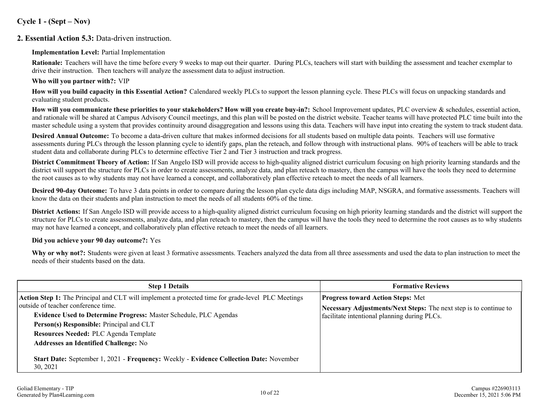#### **Cycle 1 - (Sept – Nov)**

#### **2. Essential Action 5.3:** Data-driven instruction.

#### **Implementation Level:** Partial Implementation

**Rationale:** Teachers will have the time before every 9 weeks to map out their quarter. During PLCs, teachers will start with building the assessment and teacher exemplar to drive their instruction. Then teachers will analyze the assessment data to adjust instruction.

#### **Who will you partner with?:** VIP

**How will you build capacity in this Essential Action?** Calendared weekly PLCs to support the lesson planning cycle. These PLCs will focus on unpacking standards and evaluating student products.

**How will you communicate these priorities to your stakeholders? How will you create buy-in?:** School Improvement updates, PLC overview & schedules, essential action, and rationale will be shared at Campus Advisory Council meetings, and this plan will be posted on the district website. Teacher teams will have protected PLC time built into the master schedule using a system that provides continuity around disaggregation and lessons using this data. Teachers will have input into creating the system to track student data.

**Desired Annual Outcome:** To become a data-driven culture that makes informed decisions for all students based on multiple data points. Teachers will use formative assessments during PLCs through the lesson planning cycle to identify gaps, plan the reteach, and follow through with instructional plans. 90% of teachers will be able to track student data and collaborate during PLCs to determine effective Tier 2 and Tier 3 instruction and track progress.

**District Commitment Theory of Action:** If San Angelo ISD will provide access to high-quality aligned district curriculum focusing on high priority learning standards and the district will support the structure for PLCs in order to create assessments, analyze data, and plan reteach to mastery, then the campus will have the tools they need to determine the root causes as to why students may not have learned a concept, and collaboratively plan effective reteach to meet the needs of all learners.

**Desired 90-day Outcome:** To have 3 data points in order to compare during the lesson plan cycle data digs including MAP, NSGRA, and formative assessments. Teachers will know the data on their students and plan instruction to meet the needs of all students 60% of the time.

**District Actions:** If San Angelo ISD will provide access to a high-quality aligned district curriculum focusing on high priority learning standards and the district will support the structure for PLCs to create assessments, analyze data, and plan reteach to mastery, then the campus will have the tools they need to determine the root causes as to why students may not have learned a concept, and collaboratively plan effective reteach to meet the needs of all learners.

#### **Did you achieve your 90 day outcome?:** Yes

Why or why not?: Students were given at least 3 formative assessments. Teachers analyzed the data from all three assessments and used the data to plan instruction to meet the needs of their students based on the data.

| <b>Step 1 Details</b>                                                                                                                                                                                                                                                                                     | <b>Formative Reviews</b>                                                                                                                                      |  |  |  |  |
|-----------------------------------------------------------------------------------------------------------------------------------------------------------------------------------------------------------------------------------------------------------------------------------------------------------|---------------------------------------------------------------------------------------------------------------------------------------------------------------|--|--|--|--|
| Action Step 1: The Principal and CLT will implement a protected time for grade-level PLC Meetings<br>outside of teacher conference time.<br>Evidence Used to Determine Progress: Master Schedule, PLC Agendas<br>Person(s) Responsible: Principal and CLT<br><b>Resources Needed: PLC Agenda Template</b> | <b>Progress toward Action Steps: Met</b><br>Necessary Adjustments/Next Steps: The next step is to continue to<br>facilitate intentional planning during PLCs. |  |  |  |  |
| <b>Addresses an Identified Challenge: No</b><br>Start Date: September 1, 2021 - Frequency: Weekly - Evidence Collection Date: November<br>30, 2021                                                                                                                                                        |                                                                                                                                                               |  |  |  |  |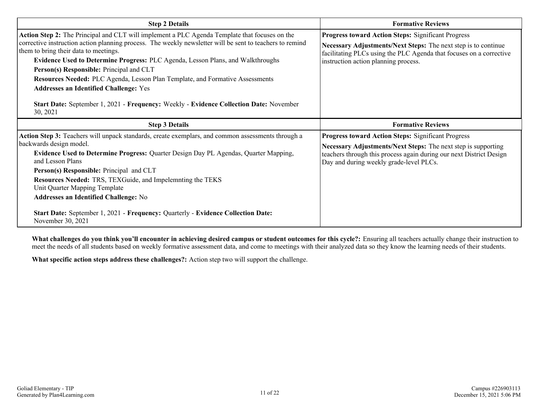| Progress toward Action Steps: Significant Progress<br>Necessary Adjustments/Next Steps: The next step is to continue<br>facilitating PLCs using the PLC Agenda that focuses on a corrective<br>instruction action planning process.   |  |  |  |  |
|---------------------------------------------------------------------------------------------------------------------------------------------------------------------------------------------------------------------------------------|--|--|--|--|
| <b>Formative Reviews</b>                                                                                                                                                                                                              |  |  |  |  |
| Progress toward Action Steps: Significant Progress<br>Necessary Adjustments/Next Steps: The next step is supporting<br>teachers through this process again during our next District Design<br>Day and during weekly grade-level PLCs. |  |  |  |  |
|                                                                                                                                                                                                                                       |  |  |  |  |

**What challenges do you think you'll encounter in achieving desired campus or student outcomes for this cycle?:** Ensuring all teachers actually change their instruction to meet the needs of all students based on weekly formative assessment data, and come to meetings with their analyzed data so they know the learning needs of their students.

**What specific action steps address these challenges?:** Action step two will support the challenge.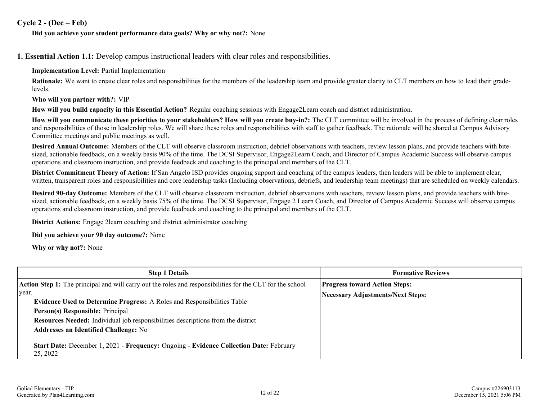#### **Cycle 2 - (Dec – Feb)**

#### **Did you achieve your student performance data goals? Why or why not?:** None

**1. Essential Action 1.1:** Develop campus instructional leaders with clear roles and responsibilities.

**Implementation Level:** Partial Implementation

**Rationale:** We want to create clear roles and responsibilities for the members of the leadership team and provide greater clarity to CLT members on how to lead their gradelevels.

**Who will you partner with?:** VIP

**How will you build capacity in this Essential Action?** Regular coaching sessions with Engage2Learn coach and district administration.

**How will you communicate these priorities to your stakeholders? How will you create buy-in?:** The CLT committee will be involved in the process of defining clear roles and responsibilities of those in leadership roles. We will share these roles and responsibilities with staff to gather feedback. The rationale will be shared at Campus Advisory Committee meetings and public meetings as well.

**Desired Annual Outcome:** Members of the CLT will observe classroom instruction, debrief observations with teachers, review lesson plans, and provide teachers with bitesized, actionable feedback, on a weekly basis 90% of the time. The DCSI Supervisor, Engage2Learn Coach, and Director of Campus Academic Success will observe campus operations and classroom instruction, and provide feedback and coaching to the principal and members of the CLT.

**District Commitment Theory of Action:** If San Angelo ISD provides ongoing support and coaching of the campus leaders, then leaders will be able to implement clear, written, transparent roles and responsibilities and core leadership tasks (Including observations, debriefs, and leadership team meetings) that are scheduled on weekly calendars.

**Desired 90-day Outcome:** Members of the CLT will observe classroom instruction, debrief observations with teachers, review lesson plans, and provide teachers with bitesized, actionable feedback, on a weekly basis 75% of the time. The DCSI Supervisor, Engage 2 Learn Coach, and Director of Campus Academic Success will observe campus operations and classroom instruction, and provide feedback and coaching to the principal and members of the CLT.

**District Actions:** Engage 2learn coaching and district administrator coaching

**Did you achieve your 90 day outcome?:** None

**Why or why not?:** None

| <b>Step 1 Details</b>                                                                                     | <b>Formative Reviews</b>                 |  |  |  |  |
|-----------------------------------------------------------------------------------------------------------|------------------------------------------|--|--|--|--|
| Action Step 1: The principal and will carry out the roles and responsibilities for the CLT for the school | <b>Progress toward Action Steps:</b>     |  |  |  |  |
| vear.<br><b>Evidence Used to Determine Progress: A Roles and Responsibilities Table</b>                   | <b>Necessary Adjustments/Next Steps:</b> |  |  |  |  |
| Person(s) Responsible: Principal                                                                          |                                          |  |  |  |  |
| Resources Needed: Individual job responsibilities descriptions from the district                          |                                          |  |  |  |  |
| <b>Addresses an Identified Challenge: No</b>                                                              |                                          |  |  |  |  |
| Start Date: December 1, 2021 - Frequency: Ongoing - Evidence Collection Date: February<br>25, 2022        |                                          |  |  |  |  |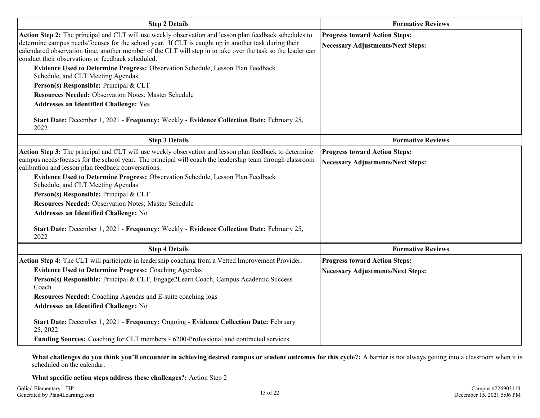| <b>Step 2 Details</b>                                                                                                                                                                                                                                                                                                                                                                                                                                                                                                                                                                                                                                         | <b>Formative Reviews</b>                                                         |
|---------------------------------------------------------------------------------------------------------------------------------------------------------------------------------------------------------------------------------------------------------------------------------------------------------------------------------------------------------------------------------------------------------------------------------------------------------------------------------------------------------------------------------------------------------------------------------------------------------------------------------------------------------------|----------------------------------------------------------------------------------|
| Action Step 2: The principal and CLT will use weekly observation and lesson plan feedback schedules to<br>determine campus needs/focuses for the school year. If CLT is caught up in another task during their<br>calendared observation time, another member of the CLT will step in to take over the task so the leader can<br>conduct their observations or feedback scheduled.<br>Evidence Used to Determine Progress: Observation Schedule, Lesson Plan Feedback<br>Schedule, and CLT Meeting Agendas<br>Person(s) Responsible: Principal & CLT<br>Resources Needed: Observation Notes; Master Schedule<br><b>Addresses an Identified Challenge: Yes</b> | <b>Progress toward Action Steps:</b><br><b>Necessary Adjustments/Next Steps:</b> |
| Start Date: December 1, 2021 - Frequency: Weekly - Evidence Collection Date: February 25,<br>2022                                                                                                                                                                                                                                                                                                                                                                                                                                                                                                                                                             |                                                                                  |
| <b>Step 3 Details</b>                                                                                                                                                                                                                                                                                                                                                                                                                                                                                                                                                                                                                                         | <b>Formative Reviews</b>                                                         |
| Action Step 3: The principal and CLT will use weekly observation and lesson plan feedback to determine<br>campus needs/focuses for the school year. The principal will coach the leadership team through classroom<br>calibration and lesson plan feedback conversations.<br>Evidence Used to Determine Progress: Observation Schedule, Lesson Plan Feedback<br>Schedule, and CLT Meeting Agendas<br>Person(s) Responsible: Principal & CLT<br>Resources Needed: Observation Notes; Master Schedule<br><b>Addresses an Identified Challenge: No</b><br>Start Date: December 1, 2021 - Frequency: Weekly - Evidence Collection Date: February 25,<br>2022      | <b>Progress toward Action Steps:</b><br><b>Necessary Adjustments/Next Steps:</b> |
| <b>Step 4 Details</b>                                                                                                                                                                                                                                                                                                                                                                                                                                                                                                                                                                                                                                         | <b>Formative Reviews</b>                                                         |
| Action Step 4: The CLT will participate in leadership coaching from a Vetted Improvement Provider.<br><b>Evidence Used to Determine Progress: Coaching Agendas</b><br>Person(s) Responsible: Principal & CLT, Engage2Learn Coach, Campus Academic Success<br>Coach<br>Resources Needed: Coaching Agendas and E-suite coaching logs<br><b>Addresses an Identified Challenge: No</b><br>Start Date: December 1, 2021 - Frequency: Ongoing - Evidence Collection Date: February<br>25, 2022<br>Funding Sources: Coaching for CLT members - 6200-Professional and contracted services                                                                             | <b>Progress toward Action Steps:</b><br><b>Necessary Adjustments/Next Steps:</b> |

**What challenges do you think you'll encounter in achieving desired campus or student outcomes for this cycle?:** A barrier is not always getting into a classroom when it is scheduled on the calendar.

**What specific action steps address these challenges?:** Action Step 2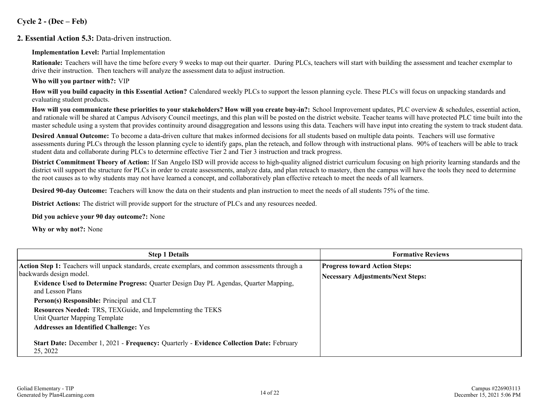#### **Cycle 2 - (Dec – Feb)**

#### **2. Essential Action 5.3:** Data-driven instruction.

#### **Implementation Level:** Partial Implementation

**Rationale:** Teachers will have the time before every 9 weeks to map out their quarter. During PLCs, teachers will start with building the assessment and teacher exemplar to drive their instruction. Then teachers will analyze the assessment data to adjust instruction.

#### **Who will you partner with?:** VIP

**How will you build capacity in this Essential Action?** Calendared weekly PLCs to support the lesson planning cycle. These PLCs will focus on unpacking standards and evaluating student products.

**How will you communicate these priorities to your stakeholders? How will you create buy-in?:** School Improvement updates, PLC overview & schedules, essential action, and rationale will be shared at Campus Advisory Council meetings, and this plan will be posted on the district website. Teacher teams will have protected PLC time built into the master schedule using a system that provides continuity around disaggregation and lessons using this data. Teachers will have input into creating the system to track student data.

**Desired Annual Outcome:** To become a data-driven culture that makes informed decisions for all students based on multiple data points. Teachers will use formative assessments during PLCs through the lesson planning cycle to identify gaps, plan the reteach, and follow through with instructional plans. 90% of teachers will be able to track student data and collaborate during PLCs to determine effective Tier 2 and Tier 3 instruction and track progress.

**District Commitment Theory of Action:** If San Angelo ISD will provide access to high-quality aligned district curriculum focusing on high priority learning standards and the district will support the structure for PLCs in order to create assessments, analyze data, and plan reteach to mastery, then the campus will have the tools they need to determine the root causes as to why students may not have learned a concept, and collaboratively plan effective reteach to meet the needs of all learners.

**Desired 90-day Outcome:** Teachers will know the data on their students and plan instruction to meet the needs of all students 75% of the time.

**District Actions:** The district will provide support for the structure of PLCs and any resources needed.

#### **Did you achieve your 90 day outcome?:** None

**Why or why not?:** None

| <b>Step 1 Details</b>                                                                                           | <b>Formative Reviews</b>                 |  |  |  |  |
|-----------------------------------------------------------------------------------------------------------------|------------------------------------------|--|--|--|--|
| Action Step 1: Teachers will unpack standards, create exemplars, and common assessments through a               | <b>Progress toward Action Steps:</b>     |  |  |  |  |
| backwards design model.                                                                                         | <b>Necessary Adjustments/Next Steps:</b> |  |  |  |  |
| <b>Evidence Used to Determine Progress:</b> Quarter Design Day PL Agendas, Quarter Mapping,<br>and Lesson Plans |                                          |  |  |  |  |
| Person(s) Responsible: Principal and CLT                                                                        |                                          |  |  |  |  |
| <b>Resources Needed: TRS, TEXGuide, and Impelemnting the TEKS</b>                                               |                                          |  |  |  |  |
| Unit Quarter Mapping Template                                                                                   |                                          |  |  |  |  |
| <b>Addresses an Identified Challenge: Yes</b>                                                                   |                                          |  |  |  |  |
| Start Date: December 1, 2021 - Frequency: Quarterly - Evidence Collection Date: February<br>25, 2022            |                                          |  |  |  |  |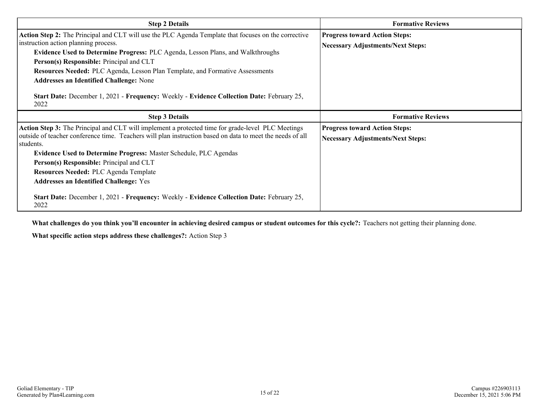| <b>Step 2 Details</b>                                                                                                                                                                                                                                                                                                                                                                                                                                                                                                      | <b>Formative Reviews</b>                                                         |  |  |  |
|----------------------------------------------------------------------------------------------------------------------------------------------------------------------------------------------------------------------------------------------------------------------------------------------------------------------------------------------------------------------------------------------------------------------------------------------------------------------------------------------------------------------------|----------------------------------------------------------------------------------|--|--|--|
| Action Step 2: The Principal and CLT will use the PLC Agenda Template that focuses on the corrective<br>instruction action planning process.<br><b>Evidence Used to Determine Progress: PLC Agenda, Lesson Plans, and Walkthroughs</b><br>Person(s) Responsible: Principal and CLT<br>Resources Needed: PLC Agenda, Lesson Plan Template, and Formative Assessments<br><b>Addresses an Identified Challenge: None</b><br>Start Date: December 1, 2021 - Frequency: Weekly - Evidence Collection Date: February 25,<br>2022 | <b>Progress toward Action Steps:</b><br><b>Necessary Adjustments/Next Steps:</b> |  |  |  |
| <b>Step 3 Details</b>                                                                                                                                                                                                                                                                                                                                                                                                                                                                                                      | <b>Formative Reviews</b>                                                         |  |  |  |
| <b>Action Step 3:</b> The Principal and CLT will implement a protected time for grade-level PLC Meetings<br>outside of teacher conference time. Teachers will plan instruction based on data to meet the needs of all<br>students.<br>Evidence Used to Determine Progress: Master Schedule, PLC Agendas<br>Person(s) Responsible: Principal and CLT<br><b>Resources Needed: PLC Agenda Template</b><br><b>Addresses an Identified Challenge: Yes</b>                                                                       | <b>Progress toward Action Steps:</b><br><b>Necessary Adjustments/Next Steps:</b> |  |  |  |
| Start Date: December 1, 2021 - Frequency: Weekly - Evidence Collection Date: February 25,<br>2022                                                                                                                                                                                                                                                                                                                                                                                                                          |                                                                                  |  |  |  |

**What challenges do you think you'll encounter in achieving desired campus or student outcomes for this cycle?:** Teachers not getting their planning done.

**What specific action steps address these challenges?:** Action Step 3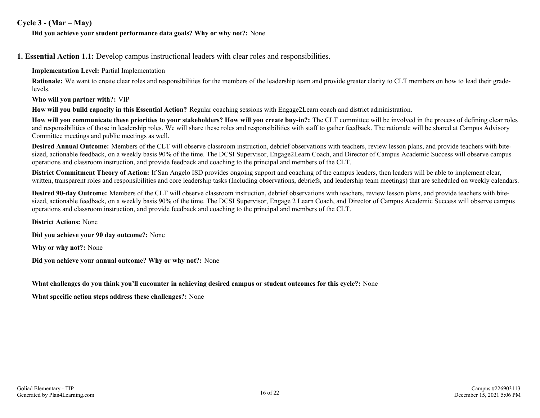#### **Cycle 3 - (Mar – May)**

#### **Did you achieve your student performance data goals? Why or why not?:** None

**1. Essential Action 1.1:** Develop campus instructional leaders with clear roles and responsibilities.

**Implementation Level:** Partial Implementation

**Rationale:** We want to create clear roles and responsibilities for the members of the leadership team and provide greater clarity to CLT members on how to lead their gradelevels.

**Who will you partner with?:** VIP

**How will you build capacity in this Essential Action?** Regular coaching sessions with Engage2Learn coach and district administration.

**How will you communicate these priorities to your stakeholders? How will you create buy-in?:** The CLT committee will be involved in the process of defining clear roles and responsibilities of those in leadership roles. We will share these roles and responsibilities with staff to gather feedback. The rationale will be shared at Campus Advisory Committee meetings and public meetings as well.

**Desired Annual Outcome:** Members of the CLT will observe classroom instruction, debrief observations with teachers, review lesson plans, and provide teachers with bitesized, actionable feedback, on a weekly basis 90% of the time. The DCSI Supervisor, Engage2Learn Coach, and Director of Campus Academic Success will observe campus operations and classroom instruction, and provide feedback and coaching to the principal and members of the CLT.

**District Commitment Theory of Action:** If San Angelo ISD provides ongoing support and coaching of the campus leaders, then leaders will be able to implement clear, written, transparent roles and responsibilities and core leadership tasks (Including observations, debriefs, and leadership team meetings) that are scheduled on weekly calendars.

**Desired 90-day Outcome:** Members of the CLT will observe classroom instruction, debrief observations with teachers, review lesson plans, and provide teachers with bitesized, actionable feedback, on a weekly basis 90% of the time. The DCSI Supervisor, Engage 2 Learn Coach, and Director of Campus Academic Success will observe campus operations and classroom instruction, and provide feedback and coaching to the principal and members of the CLT.

**District Actions:** None

**Did you achieve your 90 day outcome?:** None

**Why or why not?:** None

**Did you achieve your annual outcome? Why or why not?:** None

**What challenges do you think you'll encounter in achieving desired campus or student outcomes for this cycle?:** None

**What specific action steps address these challenges?:** None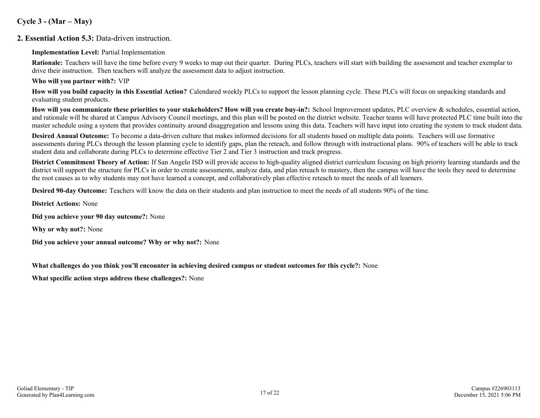#### **Cycle 3 - (Mar – May)**

#### **2. Essential Action 5.3:** Data-driven instruction.

#### **Implementation Level:** Partial Implementation

**Rationale:** Teachers will have the time before every 9 weeks to map out their quarter. During PLCs, teachers will start with building the assessment and teacher exemplar to drive their instruction. Then teachers will analyze the assessment data to adjust instruction.

#### **Who will you partner with?:** VIP

**How will you build capacity in this Essential Action?** Calendared weekly PLCs to support the lesson planning cycle. These PLCs will focus on unpacking standards and evaluating student products.

**How will you communicate these priorities to your stakeholders? How will you create buy-in?:** School Improvement updates, PLC overview & schedules, essential action, and rationale will be shared at Campus Advisory Council meetings, and this plan will be posted on the district website. Teacher teams will have protected PLC time built into the master schedule using a system that provides continuity around disaggregation and lessons using this data. Teachers will have input into creating the system to track student data.

**Desired Annual Outcome:** To become a data-driven culture that makes informed decisions for all students based on multiple data points. Teachers will use formative assessments during PLCs through the lesson planning cycle to identify gaps, plan the reteach, and follow through with instructional plans. 90% of teachers will be able to track student data and collaborate during PLCs to determine effective Tier 2 and Tier 3 instruction and track progress.

**District Commitment Theory of Action:** If San Angelo ISD will provide access to high-quality aligned district curriculum focusing on high priority learning standards and the district will support the structure for PLCs in order to create assessments, analyze data, and plan reteach to mastery, then the campus will have the tools they need to determine the root causes as to why students may not have learned a concept, and collaboratively plan effective reteach to meet the needs of all learners.

**Desired 90-day Outcome:** Teachers will know the data on their students and plan instruction to meet the needs of all students 90% of the time.

**District Actions:** None

**Did you achieve your 90 day outcome?:** None

**Why or why not?:** None

**Did you achieve your annual outcome? Why or why not?:** None

**What challenges do you think you'll encounter in achieving desired campus or student outcomes for this cycle?:** None

**What specific action steps address these challenges?:** None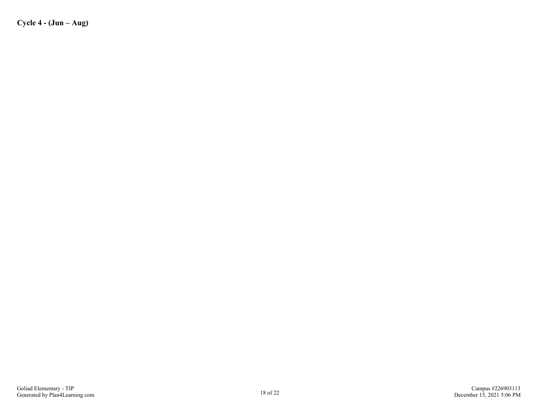**Cycle 4 - (Jun – Aug)**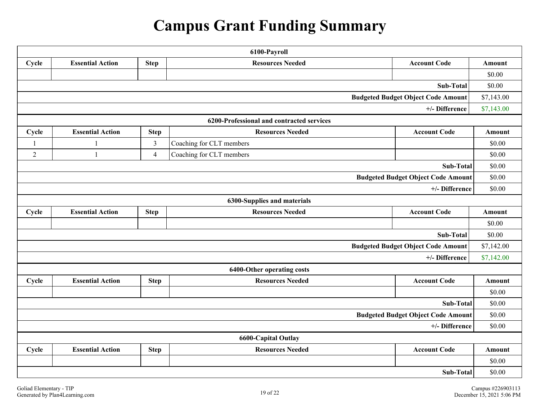# **Campus Grant Funding Summary**

| 6100-Payroll                              |                                                                                          |                |                                           |                                           |            |  |  |  |  |
|-------------------------------------------|------------------------------------------------------------------------------------------|----------------|-------------------------------------------|-------------------------------------------|------------|--|--|--|--|
| Cycle                                     | <b>Resources Needed</b><br><b>Account Code</b><br><b>Essential Action</b><br><b>Step</b> |                |                                           |                                           |            |  |  |  |  |
|                                           |                                                                                          |                |                                           |                                           |            |  |  |  |  |
| Sub-Total                                 |                                                                                          |                |                                           |                                           |            |  |  |  |  |
| <b>Budgeted Budget Object Code Amount</b> |                                                                                          |                |                                           |                                           |            |  |  |  |  |
| +/- Difference                            |                                                                                          |                |                                           |                                           |            |  |  |  |  |
|                                           |                                                                                          |                | 6200-Professional and contracted services |                                           |            |  |  |  |  |
| Cycle                                     | <b>Essential Action</b>                                                                  | <b>Step</b>    | <b>Resources Needed</b>                   | <b>Account Code</b>                       | Amount     |  |  |  |  |
| -1                                        | $\mathbf{1}$                                                                             | $\mathfrak{Z}$ | Coaching for CLT members                  |                                           | \$0.00     |  |  |  |  |
| $\overline{2}$                            | $\mathbf{1}$                                                                             | $\overline{4}$ | Coaching for CLT members                  |                                           | \$0.00     |  |  |  |  |
|                                           |                                                                                          |                |                                           | Sub-Total                                 | \$0.00     |  |  |  |  |
|                                           |                                                                                          |                |                                           | <b>Budgeted Budget Object Code Amount</b> | \$0.00     |  |  |  |  |
|                                           |                                                                                          |                |                                           | +/- Difference                            | \$0.00     |  |  |  |  |
| 6300-Supplies and materials               |                                                                                          |                |                                           |                                           |            |  |  |  |  |
| Cycle                                     | <b>Resources Needed</b><br><b>Account Code</b><br><b>Essential Action</b><br><b>Step</b> |                |                                           |                                           |            |  |  |  |  |
|                                           |                                                                                          |                |                                           |                                           | \$0.00     |  |  |  |  |
|                                           |                                                                                          |                |                                           | Sub-Total                                 | \$0.00     |  |  |  |  |
|                                           |                                                                                          |                |                                           | <b>Budgeted Budget Object Code Amount</b> | \$7,142.00 |  |  |  |  |
|                                           |                                                                                          |                |                                           | +/- Difference                            | \$7,142.00 |  |  |  |  |
|                                           |                                                                                          |                | 6400-Other operating costs                |                                           |            |  |  |  |  |
| Cycle                                     | <b>Essential Action</b>                                                                  | <b>Step</b>    | <b>Resources Needed</b>                   | <b>Account Code</b>                       | Amount     |  |  |  |  |
|                                           |                                                                                          |                |                                           |                                           | \$0.00     |  |  |  |  |
|                                           |                                                                                          |                |                                           | Sub-Total                                 | \$0.00     |  |  |  |  |
| <b>Budgeted Budget Object Code Amount</b> |                                                                                          |                |                                           |                                           |            |  |  |  |  |
| +/- Difference                            |                                                                                          |                |                                           |                                           |            |  |  |  |  |
|                                           |                                                                                          |                | <b>6600-Capital Outlay</b>                |                                           |            |  |  |  |  |
| Cycle                                     | <b>Essential Action</b>                                                                  | <b>Step</b>    | <b>Resources Needed</b>                   | <b>Account Code</b>                       | Amount     |  |  |  |  |
|                                           |                                                                                          |                |                                           |                                           | \$0.00     |  |  |  |  |
| Sub-Total                                 |                                                                                          |                |                                           |                                           |            |  |  |  |  |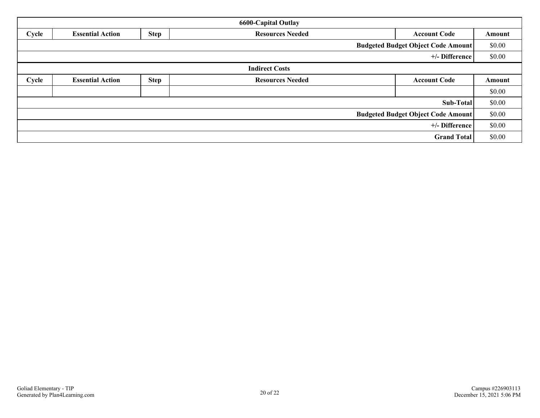| <b>6600-Capital Outlay</b>                |                                                                                          |             |                         |                     |        |  |  |
|-------------------------------------------|------------------------------------------------------------------------------------------|-------------|-------------------------|---------------------|--------|--|--|
| Cycle                                     | <b>Step</b><br><b>Resources Needed</b><br><b>Essential Action</b><br><b>Account Code</b> |             |                         |                     |        |  |  |
| <b>Budgeted Budget Object Code Amount</b> |                                                                                          |             |                         |                     |        |  |  |
|                                           | +/- Difference                                                                           |             |                         |                     |        |  |  |
| <b>Indirect Costs</b>                     |                                                                                          |             |                         |                     |        |  |  |
| Cycle                                     | <b>Essential Action</b>                                                                  | <b>Step</b> | <b>Resources Needed</b> | <b>Account Code</b> | Amount |  |  |
|                                           |                                                                                          |             |                         |                     | \$0.00 |  |  |
| Sub-Total                                 |                                                                                          |             |                         |                     |        |  |  |
| <b>Budgeted Budget Object Code Amount</b> |                                                                                          |             |                         |                     |        |  |  |
| +/- Difference                            |                                                                                          |             |                         | \$0.00              |        |  |  |
| <b>Grand Total</b>                        |                                                                                          |             |                         |                     |        |  |  |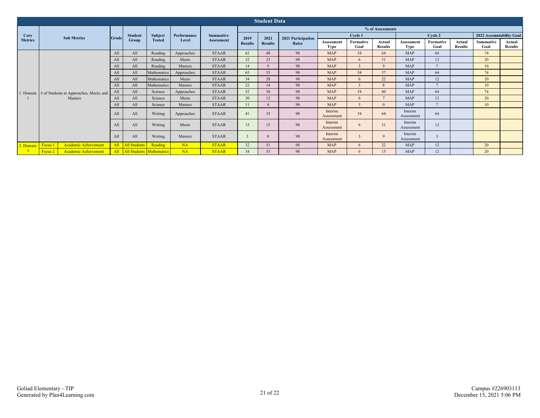| <b>Student Data</b> |                                                   |       |                     |                                 |                      |                                       |                  |                |                    |                          |                   |                          |                           |                   |                          |                          |                          |
|---------------------|---------------------------------------------------|-------|---------------------|---------------------------------|----------------------|---------------------------------------|------------------|----------------|--------------------|--------------------------|-------------------|--------------------------|---------------------------|-------------------|--------------------------|--------------------------|--------------------------|
|                     | <b>Sub Metrics</b>                                |       |                     |                                 |                      | <b>Summative</b><br><b>Assessment</b> | % of Assessments |                |                    |                          |                   |                          |                           |                   |                          |                          |                          |
| Core                |                                                   | Grade | <b>Student</b>      | Subject                         | Performance<br>Level |                                       | 2019             | 2021           | 2021 Participation |                          | Cycle 1           |                          | Cycle 2                   |                   |                          | 2022 Accountability Goal |                          |
| <b>Metrics</b>      |                                                   |       | Group               | <b>Tested</b>                   |                      |                                       | <b>Results</b>   | <b>Results</b> | Rates              | Assessmen<br><b>Type</b> | Formative<br>Goal | Actual<br><b>Results</b> | Assessment<br><b>Type</b> | Formative<br>Goal | Actual<br><b>Results</b> | Summative<br>Goal        | Actual<br><b>Results</b> |
|                     |                                                   | All   | All                 | Reading                         | Approaches           | <b>STAAR</b>                          | 62               | 48             | 98                 | <b>MAP</b>               | 54                | 64                       | <b>MAP</b>                | 64                |                          | 74                       |                          |
|                     |                                                   | All   | All                 | Reading                         | Meets                | <b>STAAR</b>                          | 32               | 23             | 98                 | <b>MAP</b>               | 6                 | 31                       | <b>MAP</b>                | 12                |                          | 20                       |                          |
|                     |                                                   | All   | All                 | Reading                         | Masters              | <b>STAAR</b>                          | 14               | $\mathbf{Q}$   | 98                 | <b>MAP</b>               |                   | $\mathbf{Q}$             | <b>MAP</b>                | $\overline{ }$    |                          | 10                       |                          |
|                     |                                                   | All   | All                 | Mathematics                     | Approaches           | <b>STAAR</b>                          | 65               | 53             | 98                 | <b>MAP</b>               | 54                | 57                       | <b>MAP</b>                | 64                |                          | 74                       |                          |
|                     |                                                   | All   | All                 | Mathematics                     | Meets                | <b>STAAR</b>                          | 34               | 28             | 98                 | <b>MAP</b>               | 6                 | 22                       | <b>MAP</b>                | 12                |                          | 20                       |                          |
|                     | 1. Domain # of Students at Approaches, Meets, and | All   | All                 | Mathematics                     | Masters              | <b>STAAR</b>                          | 22               | 14             | 98                 | <b>MAP</b>               |                   | $\mathbf{8}$             | MAP                       |                   |                          | 10                       |                          |
|                     |                                                   | All   | All                 | Science                         | Approaches           | <b>STAAR</b>                          | 52               | 38             | 98                 | <b>MAP</b>               | 54                | 60                       | <b>MAP</b>                | 64                |                          | 74                       |                          |
|                     | Masters                                           | All   | All                 | Science                         | Meets                | <b>STAAR</b>                          | 30               | 12             | 98                 | <b>MAP</b>               | 6                 | $\mathbf{a}$             | MAP                       | 12                |                          | 20                       |                          |
|                     |                                                   | All   | All                 | Science                         | Masters              | <b>STAAR</b>                          | 11               |                | 98                 | <b>MAP</b>               |                   | $\Omega$                 | <b>MAP</b>                | $\overline{ }$    |                          | 10                       |                          |
|                     |                                                   | All   | All                 | Writing                         | Approaches           | <b>STAAR</b>                          | 41               | 35             | 98                 | Interim<br>Assessment    | 54                | 64                       | Interim<br>Assessment     | 64                |                          |                          |                          |
|                     |                                                   | All   | All                 | Writing                         | Meets                | <b>STAAR</b>                          | 15               | 15             | 98                 | Interim<br>Assessment    |                   | 31                       | Interim<br>Assessment     | 12                |                          |                          |                          |
|                     |                                                   | All   | All                 | Writing                         | Masters              | <b>STAAR</b>                          | $\mathbf{3}$     |                | 98                 | Interim<br>Assessment    |                   | $\mathbf{Q}$             | Interim<br>Assessment     |                   |                          |                          |                          |
| 2. Domain Focus 1   | Academic Achievement                              | All   | <b>All Students</b> | Reading                         | NA                   | <b>STAAR</b>                          | 32               | 51             | 98                 | <b>MAP</b>               |                   | 22                       | <b>MAP</b>                | 12                |                          | 20                       |                          |
|                     | Academic Achievement<br>Focus <sub>2</sub>        | All   |                     | <b>All Students Mathematics</b> | NA                   | <b>STAAR</b>                          | 34               | 53             | 98                 | <b>MAP</b>               | 6                 | 15                       | <b>MAP</b>                | 12                |                          | 20                       |                          |